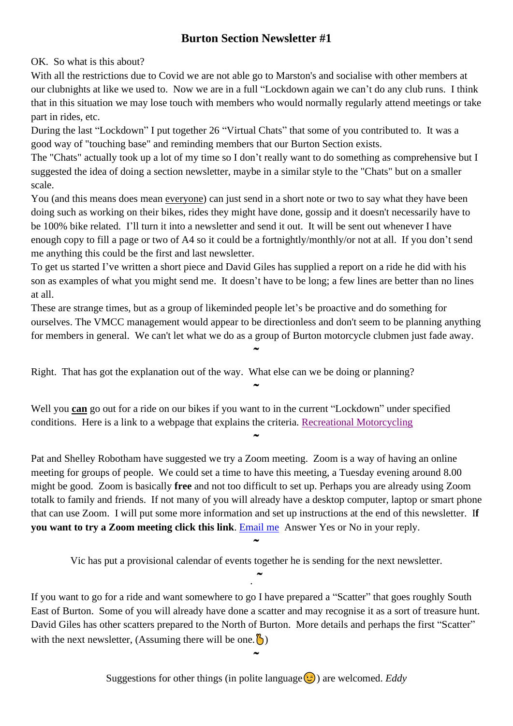### **Burton Section Newsletter #1**

OK. So what is this about?

With all the restrictions due to Covid we are not able go to Marston's and socialise with other members at our clubnights at like we used to. Now we are in a full "Lockdown again we can't do any club runs. I think that in this situation we may lose touch with members who would normally regularly attend meetings or take part in rides, etc.

During the last "Lockdown" I put together 26 "Virtual Chats" that some of you contributed to. It was a good way of "touching base" and reminding members that our Burton Section exists.

The "Chats" actually took up a lot of my time so I don't really want to do something as comprehensive but I suggested the idea of doing a section newsletter, maybe in a similar style to the "Chats" but on a smaller scale.

You (and this means does mean everyone) can just send in a short note or two to say what they have been doing such as working on their bikes, rides they might have done, gossip and it doesn't necessarily have to be 100% bike related. I'll turn it into a newsletter and send it out. It will be sent out whenever I have enough copy to fill a page or two of A4 so it could be a fortnightly/monthly/or not at all. If you don't send me anything this could be the first and last newsletter.

To get us started I've written a short piece and David Giles has supplied a report on a ride he did with his son as examples of what you might send me. It doesn't have to be long; a few lines are better than no lines at all.

These are strange times, but as a group of likeminded people let's be proactive and do something for ourselves. The VMCC management would appear to be directionless and don't seem to be planning anything for members in general. We can't let what we do as a group of Burton motorcycle clubmen just fade away.

**˜**

**˜**

Right. That has got the explanation out of the way. What else can we be doing or planning?

Well you **can** go out for a ride on our bikes if you want to in the current "Lockdown" under specified conditions. Here is a link to a webpage that explains the criteria. [Recreational Motorcycling](https://www.mag-uk.org/recreational-motorcycling-in-england-permitted/)

**˜**

Pat and Shelley Robotham have suggested we try a Zoom meeting. Zoom is a way of having an online meeting for groups of people. We could set a time to have this meeting, a Tuesday evening around 8.00 might be good. Zoom is basically **free** and not too difficult to set up. Perhaps you are already using Zoom totalk to family and friends. If not many of you will already have a desktop computer, laptop or smart phone that can use Zoom. I will put some more information and set up instructions at the end of this newsletter. I**f you want to try a Zoom meeting click this link**. [Email me](mailto:edgrew@virginmedia.com?subject=Try%20a%20Zoom%20Meeting?%20%20Click%20Reply%20and%20answer%20Yes%20or%20No) Answer Yes or No in your reply.

**˜**

Vic has put a provisional calendar of events together he is sending for the next newsletter.

. **˜**

If you want to go for a ride and want somewhere to go I have prepared a "Scatter" that goes roughly South East of Burton. Some of you will already have done a scatter and may recognise it as a sort of treasure hunt. David Giles has other scatters prepared to the North of Burton. More details and perhaps the first "Scatter" with the next newsletter, (Assuming there will be one.  $\binom{8}{3}$ )

**˜**

Suggestions for other things (in polite language  $\odot$ ) are welcomed. *Eddy*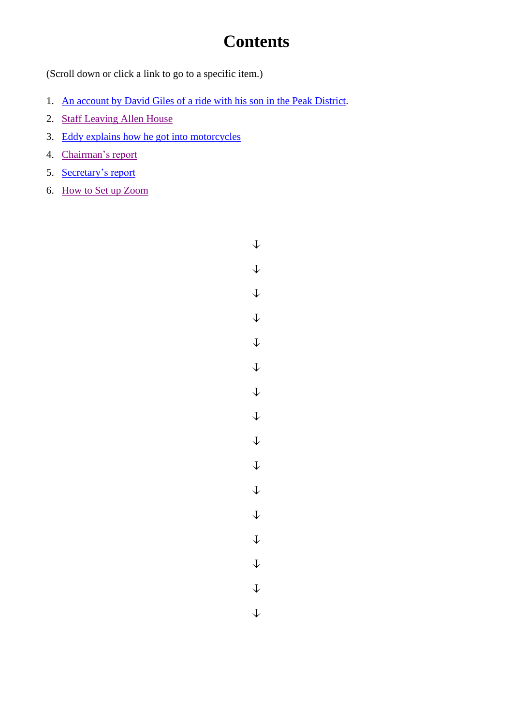# **Contents**

(Scroll down or click a link to go to a specific item.)

- 1. [An account by David Giles of a ride](#page-2-0) with his son in the Peak District.
- 2. [Staff Leaving Allen House](#page-5-0)
- 3. [Eddy explains how he got into motorcycles](#page-5-1)
- 4. [Chairman's report](#page-6-0)
- 5. [Secretary's report](#page-7-0)
- 6. [How to Set up Zoom](#page-7-1)

 $\downarrow$  $\mathbf{I}$  $\downarrow$  $\downarrow$ ↆ ↆ ↆ  $\bar{\mathbf{V}}$  $\downarrow$ ↆ ↆ  $\downarrow$ ↆ  $\downarrow$  $\downarrow$  $\overline{\mathbf{V}}$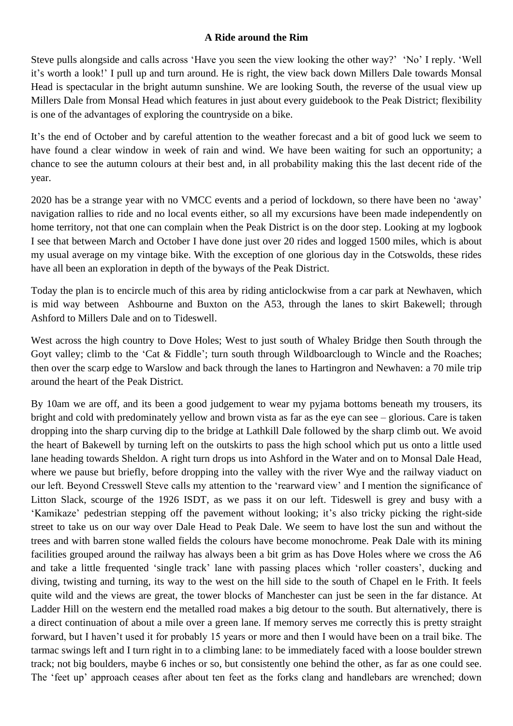#### **A Ride around the Rim**

<span id="page-2-0"></span>Steve pulls alongside and calls across 'Have you seen the view looking the other way?' 'No' I reply. 'Well it's worth a look!' I pull up and turn around. He is right, the view back down Millers Dale towards Monsal Head is spectacular in the bright autumn sunshine. We are looking South, the reverse of the usual view up Millers Dale from Monsal Head which features in just about every guidebook to the Peak District; flexibility is one of the advantages of exploring the countryside on a bike.

It's the end of October and by careful attention to the weather forecast and a bit of good luck we seem to have found a clear window in week of rain and wind. We have been waiting for such an opportunity; a chance to see the autumn colours at their best and, in all probability making this the last decent ride of the year.

2020 has be a strange year with no VMCC events and a period of lockdown, so there have been no 'away' navigation rallies to ride and no local events either, so all my excursions have been made independently on home territory, not that one can complain when the Peak District is on the door step. Looking at my logbook I see that between March and October I have done just over 20 rides and logged 1500 miles, which is about my usual average on my vintage bike. With the exception of one glorious day in the Cotswolds, these rides have all been an exploration in depth of the byways of the Peak District.

Today the plan is to encircle much of this area by riding anticlockwise from a car park at Newhaven, which is mid way between Ashbourne and Buxton on the A53, through the lanes to skirt Bakewell; through Ashford to Millers Dale and on to Tideswell.

West across the high country to Dove Holes; West to just south of Whaley Bridge then South through the Goyt valley; climb to the 'Cat & Fiddle'; turn south through Wildboarclough to Wincle and the Roaches; then over the scarp edge to Warslow and back through the lanes to Hartingron and Newhaven: a 70 mile trip around the heart of the Peak District.

By 10am we are off, and its been a good judgement to wear my pyjama bottoms beneath my trousers, its bright and cold with predominately yellow and brown vista as far as the eye can see – glorious. Care is taken dropping into the sharp curving dip to the bridge at Lathkill Dale followed by the sharp climb out. We avoid the heart of Bakewell by turning left on the outskirts to pass the high school which put us onto a little used lane heading towards Sheldon. A right turn drops us into Ashford in the Water and on to Monsal Dale Head, where we pause but briefly, before dropping into the valley with the river Wye and the railway viaduct on our left. Beyond Cresswell Steve calls my attention to the 'rearward view' and I mention the significance of Litton Slack, scourge of the 1926 ISDT, as we pass it on our left. Tideswell is grey and busy with a 'Kamikaze' pedestrian stepping off the pavement without looking; it's also tricky picking the right-side street to take us on our way over Dale Head to Peak Dale. We seem to have lost the sun and without the trees and with barren stone walled fields the colours have become monochrome. Peak Dale with its mining facilities grouped around the railway has always been a bit grim as has Dove Holes where we cross the A6 and take a little frequented 'single track' lane with passing places which 'roller coasters', ducking and diving, twisting and turning, its way to the west on the hill side to the south of Chapel en le Frith. It feels quite wild and the views are great, the tower blocks of Manchester can just be seen in the far distance. At Ladder Hill on the western end the metalled road makes a big detour to the south. But alternatively, there is a direct continuation of about a mile over a green lane. If memory serves me correctly this is pretty straight forward, but I haven't used it for probably 15 years or more and then I would have been on a trail bike. The tarmac swings left and I turn right in to a climbing lane: to be immediately faced with a loose boulder strewn track; not big boulders, maybe 6 inches or so, but consistently one behind the other, as far as one could see. The 'feet up' approach ceases after about ten feet as the forks clang and handlebars are wrenched; down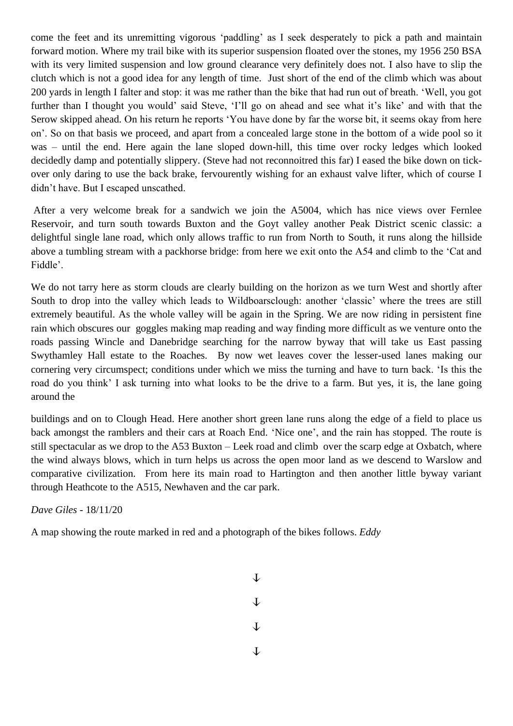come the feet and its unremitting vigorous 'paddling' as I seek desperately to pick a path and maintain forward motion. Where my trail bike with its superior suspension floated over the stones, my 1956 250 BSA with its very limited suspension and low ground clearance very definitely does not. I also have to slip the clutch which is not a good idea for any length of time. Just short of the end of the climb which was about 200 yards in length I falter and stop: it was me rather than the bike that had run out of breath. 'Well, you got further than I thought you would' said Steve, 'I'll go on ahead and see what it's like' and with that the Serow skipped ahead. On his return he reports 'You have done by far the worse bit, it seems okay from here on'. So on that basis we proceed, and apart from a concealed large stone in the bottom of a wide pool so it was – until the end. Here again the lane sloped down-hill, this time over rocky ledges which looked decidedly damp and potentially slippery. (Steve had not reconnoitred this far) I eased the bike down on tickover only daring to use the back brake, fervourently wishing for an exhaust valve lifter, which of course I didn't have. But I escaped unscathed.

After a very welcome break for a sandwich we join the A5004, which has nice views over Fernlee Reservoir, and turn south towards Buxton and the Goyt valley another Peak District scenic classic: a delightful single lane road, which only allows traffic to run from North to South, it runs along the hillside above a tumbling stream with a packhorse bridge: from here we exit onto the A54 and climb to the 'Cat and Fiddle'.

We do not tarry here as storm clouds are clearly building on the horizon as we turn West and shortly after South to drop into the valley which leads to Wildboarsclough: another 'classic' where the trees are still extremely beautiful. As the whole valley will be again in the Spring. We are now riding in persistent fine rain which obscures our goggles making map reading and way finding more difficult as we venture onto the roads passing Wincle and Danebridge searching for the narrow byway that will take us East passing Swythamley Hall estate to the Roaches. By now wet leaves cover the lesser-used lanes making our cornering very circumspect; conditions under which we miss the turning and have to turn back. 'Is this the road do you think' I ask turning into what looks to be the drive to a farm. But yes, it is, the lane going around the

buildings and on to Clough Head. Here another short green lane runs along the edge of a field to place us back amongst the ramblers and their cars at Roach End. 'Nice one', and the rain has stopped. The route is still spectacular as we drop to the A53 Buxton – Leek road and climb over the scarp edge at Oxbatch, where the wind always blows, which in turn helps us across the open moor land as we descend to Warslow and comparative civilization. From here its main road to Hartington and then another little byway variant through Heathcote to the A515, Newhaven and the car park.

*Dave Giles* - 18/11/20

A map showing the route marked in red and a photograph of the bikes follows. *Eddy*

- $\mathbf{L}$
- $\mathbf{L}$
- $\overline{\mathbf{V}}$
- ↆ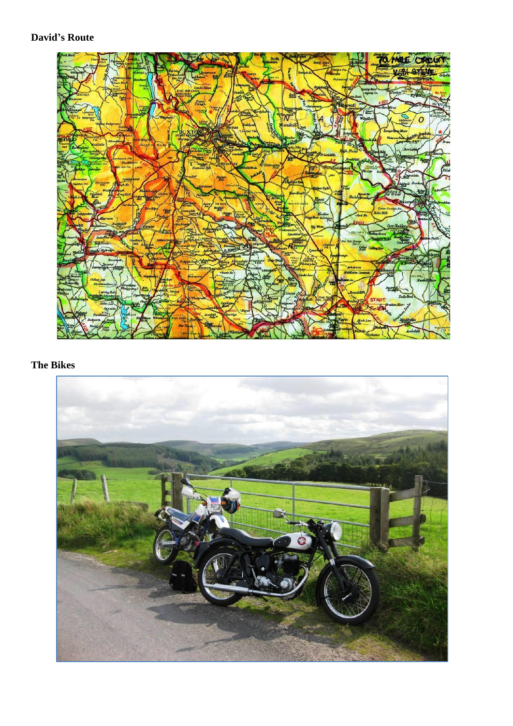#### **David's Route**



#### **The Bikes**

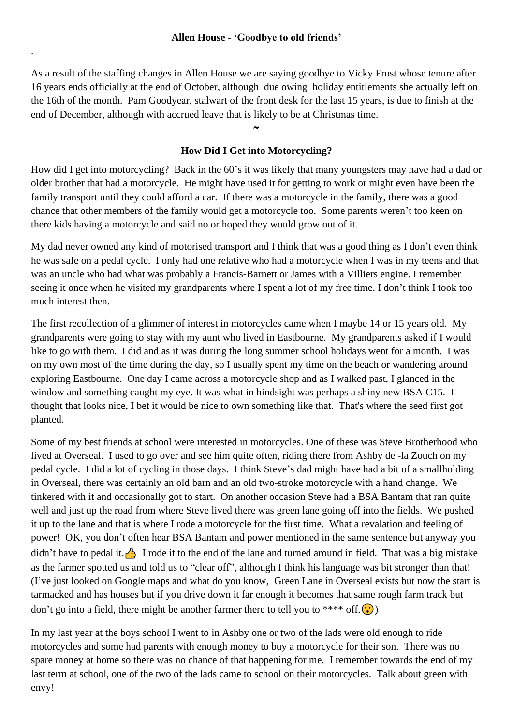<span id="page-5-0"></span>.

As a result of the staffing changes in Allen House we are saying goodbye to Vicky Frost whose tenure after 16 years ends officially at the end of October, although due owing holiday entitlements she actually left on the 16th of the month. Pam Goodyear, stalwart of the front desk for the last 15 years, is due to finish at the end of December, although with accrued leave that is likely to be at Christmas time.

#### **How Did I Get into Motorcycling?**

**˜**

<span id="page-5-1"></span>How did I get into motorcycling? Back in the 60's it was likely that many youngsters may have had a dad or older brother that had a motorcycle. He might have used it for getting to work or might even have been the family transport until they could afford a car. If there was a motorcycle in the family, there was a good chance that other members of the family would get a motorcycle too. Some parents weren't too keen on there kids having a motorcycle and said no or hoped they would grow out of it.

My dad never owned any kind of motorised transport and I think that was a good thing as I don't even think he was safe on a pedal cycle. I only had one relative who had a motorcycle when I was in my teens and that was an uncle who had what was probably a Francis-Barnett or James with a Villiers engine. I remember seeing it once when he visited my grandparents where I spent a lot of my free time. I don't think I took too much interest then.

The first recollection of a glimmer of interest in motorcycles came when I maybe 14 or 15 years old. My grandparents were going to stay with my aunt who lived in Eastbourne. My grandparents asked if I would like to go with them. I did and as it was during the long summer school holidays went for a month. I was on my own most of the time during the day, so I usually spent my time on the beach or wandering around exploring Eastbourne. One day I came across a motorcycle shop and as I walked past, I glanced in the window and something caught my eye. It was what in hindsight was perhaps a shiny new BSA C15. I thought that looks nice, I bet it would be nice to own something like that. That's where the seed first got planted.

Some of my best friends at school were interested in motorcycles. One of these was Steve Brotherhood who lived at Overseal. I used to go over and see him quite often, riding there from Ashby de -la Zouch on my pedal cycle. I did a lot of cycling in those days. I think Steve's dad might have had a bit of a smallholding in Overseal, there was certainly an old barn and an old two-stroke motorcycle with a hand change. We tinkered with it and occasionally got to start. On another occasion Steve had a BSA Bantam that ran quite well and just up the road from where Steve lived there was green lane going off into the fields. We pushed it up to the lane and that is where I rode a motorcycle for the first time. What a revalation and feeling of power! OK, you don't often hear BSA Bantam and power mentioned in the same sentence but anyway you didn't have to pedal it.  $\triangle$  I rode it to the end of the lane and turned around in field. That was a big mistake as the farmer spotted us and told us to "clear off", although I think his language was bit stronger than that! (I've just looked on Google maps and what do you know, Green Lane in Overseal exists but now the start is tarmacked and has houses but if you drive down it far enough it becomes that same rough farm track but don't go into a field, there might be another farmer there to tell you to \*\*\*\* off.  $\binom{•}{•}$ )

In my last year at the boys school I went to in Ashby one or two of the lads were old enough to ride motorcycles and some had parents with enough money to buy a motorcycle for their son. There was no spare money at home so there was no chance of that happening for me. I remember towards the end of my last term at school, one of the two of the lads came to school on their motorcycles. Talk about green with envy!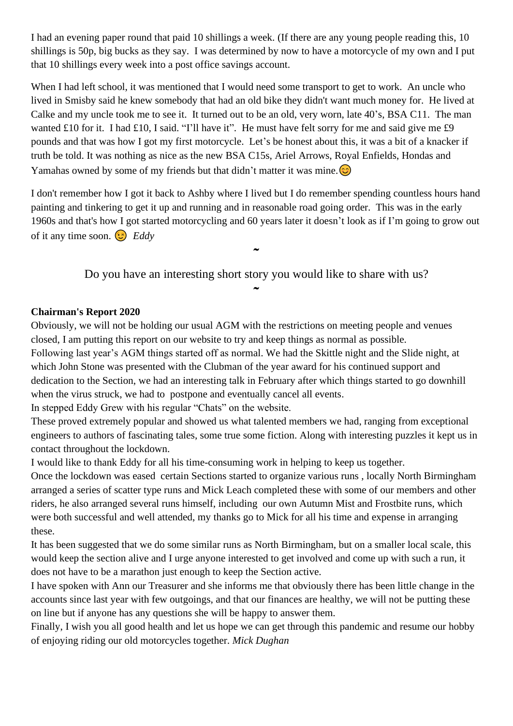I had an evening paper round that paid 10 shillings a week. (If there are any young people reading this, 10 shillings is 50p, big bucks as they say. I was determined by now to have a motorcycle of my own and I put that 10 shillings every week into a post office savings account.

When I had left school, it was mentioned that I would need some transport to get to work. An uncle who lived in Smisby said he knew somebody that had an old bike they didn't want much money for. He lived at Calke and my uncle took me to see it. It turned out to be an old, very worn, late 40's, BSA C11. The man wanted £10 for it. I had £10, I said. "I'll have it". He must have felt sorry for me and said give me £9 pounds and that was how I got my first motorcycle. Let's be honest about this, it was a bit of a knacker if truth be told. It was nothing as nice as the new BSA C15s, Ariel Arrows, Royal Enfields, Hondas and Yamahas owned by some of my friends but that didn't matter it was mine.  $\odot$ 

I don't remember how I got it back to Ashby where I lived but I do remember spending countless hours hand painting and tinkering to get it up and running and in reasonable road going order. This was in the early 1960s and that's how I got started motorcycling and 60 years later it doesn't look as if I'm going to grow out of it any time soon. *Eddy*

Do you have an interesting short story you would like to share with us?

**˜**

**˜**

#### <span id="page-6-0"></span>**Chairman's Report 2020**

Obviously, we will not be holding our usual AGM with the restrictions on meeting people and venues closed, I am putting this report on our website to try and keep things as normal as possible. Following last year's AGM things started off as normal. We had the Skittle night and the Slide night, at

which John Stone was presented with the Clubman of the year award for his continued support and dedication to the Section, we had an interesting talk in February after which things started to go downhill when the virus struck, we had to postpone and eventually cancel all events.

In stepped Eddy Grew with his regular "Chats" on the website.

These proved extremely popular and showed us what talented members we had, ranging from exceptional engineers to authors of fascinating tales, some true some fiction. Along with interesting puzzles it kept us in contact throughout the lockdown.

I would like to thank Eddy for all his time-consuming work in helping to keep us together.

Once the lockdown was eased certain Sections started to organize various runs , locally North Birmingham arranged a series of scatter type runs and Mick Leach completed these with some of our members and other riders, he also arranged several runs himself, including our own Autumn Mist and Frostbite runs, which were both successful and well attended, my thanks go to Mick for all his time and expense in arranging these.

It has been suggested that we do some similar runs as North Birmingham, but on a smaller local scale, this would keep the section alive and I urge anyone interested to get involved and come up with such a run, it does not have to be a marathon just enough to keep the Section active.

I have spoken with Ann our Treasurer and she informs me that obviously there has been little change in the accounts since last year with few outgoings, and that our finances are healthy, we will not be putting these on line but if anyone has any questions she will be happy to answer them.

Finally, I wish you all good health and let us hope we can get through this pandemic and resume our hobby of enjoying riding our old motorcycles together. *Mick Dughan*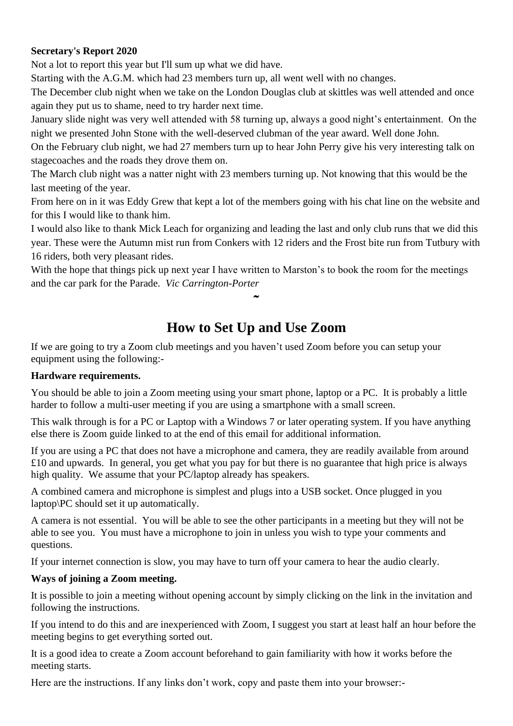#### <span id="page-7-0"></span>**Secretary's Report 2020**

Not a lot to report this year but I'll sum up what we did have.

Starting with the A.G.M. which had 23 members turn up, all went well with no changes.

The December club night when we take on the London Douglas club at skittles was well attended and once again they put us to shame, need to try harder next time.

January slide night was very well attended with 58 turning up, always a good night's entertainment. On the night we presented John Stone with the well-deserved clubman of the year award. Well done John.

On the February club night, we had 27 members turn up to hear John Perry give his very interesting talk on stagecoaches and the roads they drove them on.

The March club night was a natter night with 23 members turning up. Not knowing that this would be the last meeting of the year.

From here on in it was Eddy Grew that kept a lot of the members going with his chat line on the website and for this I would like to thank him.

I would also like to thank Mick Leach for organizing and leading the last and only club runs that we did this year. These were the Autumn mist run from Conkers with 12 riders and the Frost bite run from Tutbury with 16 riders, both very pleasant rides.

With the hope that things pick up next year I have written to Marston's to book the room for the meetings and the car park for the Parade. *Vic Carrington-Porter*

# **How to Set Up and Use Zoom**

**˜**

<span id="page-7-1"></span>If we are going to try a Zoom club meetings and you haven't used Zoom before you can setup your equipment using the following:-

#### **Hardware requirements.**

You should be able to join a Zoom meeting using your smart phone, laptop or a PC. It is probably a little harder to follow a multi-user meeting if you are using a smartphone with a small screen.

This walk through is for a PC or Laptop with a Windows 7 or later operating system. If you have anything else there is Zoom guide linked to at the end of this email for additional information.

If you are using a PC that does not have a microphone and camera, they are readily available from around £10 and upwards. In general, you get what you pay for but there is no guarantee that high price is always high quality. We assume that your PC/laptop already has speakers.

A combined camera and microphone is simplest and plugs into a USB socket. Once plugged in you laptop\PC should set it up automatically.

A camera is not essential. You will be able to see the other participants in a meeting but they will not be able to see you. You must have a microphone to join in unless you wish to type your comments and questions.

If your internet connection is slow, you may have to turn off your camera to hear the audio clearly.

#### **Ways of joining a Zoom meeting.**

It is possible to join a meeting without opening account by simply clicking on the link in the invitation and following the instructions.

If you intend to do this and are inexperienced with Zoom, I suggest you start at least half an hour before the meeting begins to get everything sorted out.

It is a good idea to create a Zoom account beforehand to gain familiarity with how it works before the meeting starts.

Here are the instructions. If any links don't work, copy and paste them into your browser:-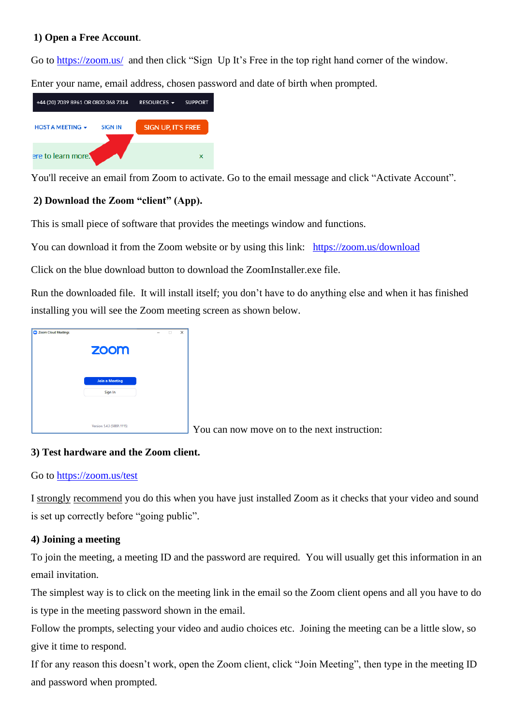#### **1) Open a Free Account**.

Go to<https://zoom.us/> and then click "Sign Up It's Free in the top right hand corner of the window.

Enter your name, email address, chosen password and date of birth when prompted.



You'll receive an email from Zoom to activate. Go to the email message and click "Activate Account".

#### **2) Download the Zoom "client" (App).**

This is small piece of software that provides the meetings window and functions.

You can download it from the Zoom website or by using this link: <https://zoom.us/download>

Click on the blue download button to download the ZoomInstaller.exe file.

Run the downloaded file. It will install itself; you don't have to do anything else and when it has finished installing you will see the Zoom meeting screen as shown below.

| Coom Cloud Meetings | zoom                        | п | $\times$ |  |
|---------------------|-----------------------------|---|----------|--|
|                     | <b>Join a Meeting</b>       |   |          |  |
|                     | Sign In                     |   |          |  |
|                     |                             |   |          |  |
|                     | Version: 5.4.3 (58891.1115) |   |          |  |

In can now move on to the next instruction:

#### **3) Test hardware and the Zoom client.**

#### Go to<https://zoom.us/test>

I strongly recommend you do this when you have just installed Zoom as it checks that your video and sound is set up correctly before "going public".

#### **4) Joining a meeting**

To join the meeting, a meeting ID and the password are required. You will usually get this information in an email invitation.

The simplest way is to click on the meeting link in the email so the Zoom client opens and all you have to do is type in the meeting password shown in the email.

Follow the prompts, selecting your video and audio choices etc. Joining the meeting can be a little slow, so give it time to respond.

If for any reason this doesn't work, open the Zoom client, click "Join Meeting", then type in the meeting ID and password when prompted.